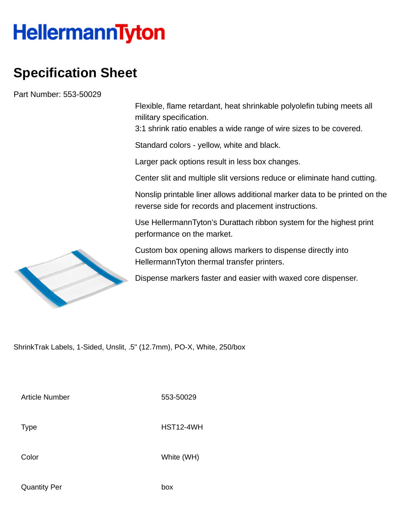## **HellermannTyton**

## **Specification Sheet**

Part Number: 553-50029

Flexible, flame retardant, heat shrinkable polyolefin tubing meets all military specification.

3:1 shrink ratio enables a wide range of wire sizes to be covered.

Standard colors - yellow, white and black.

Larger pack options result in less box changes.

Center slit and multiple slit versions reduce or eliminate hand cutting.

Nonslip printable liner allows additional marker data to be printed on the reverse side for records and placement instructions.

Use HellermannTyton's Durattach ribbon system for the highest print performance on the market.

Custom box opening allows markers to dispense directly into HellermannTyton thermal transfer printers.

Dispense markers faster and easier with waxed core dispenser.

ShrinkTrak Labels, 1-Sided, Unslit, .5" (12.7mm), PO-X, White, 250/box

Article Number 553-50029

Type HST12-4WH

Color White (WH)

Quantity Per box

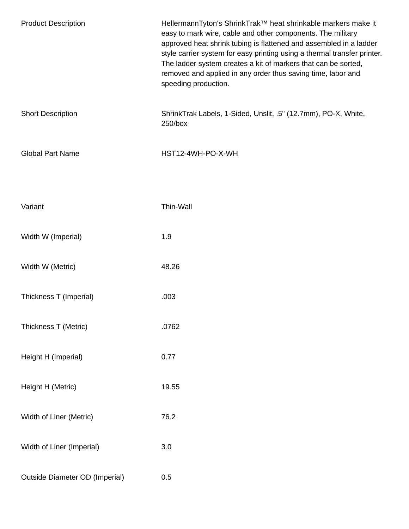| <b>Product Description</b>            | HellermannTyton's ShrinkTrak™ heat shrinkable markers make it<br>easy to mark wire, cable and other components. The military<br>approved heat shrink tubing is flattened and assembled in a ladder<br>style carrier system for easy printing using a thermal transfer printer.<br>The ladder system creates a kit of markers that can be sorted,<br>removed and applied in any order thus saving time, labor and<br>speeding production. |
|---------------------------------------|------------------------------------------------------------------------------------------------------------------------------------------------------------------------------------------------------------------------------------------------------------------------------------------------------------------------------------------------------------------------------------------------------------------------------------------|
| <b>Short Description</b>              | ShrinkTrak Labels, 1-Sided, Unslit, .5" (12.7mm), PO-X, White,<br>250/box                                                                                                                                                                                                                                                                                                                                                                |
| <b>Global Part Name</b>               | HST12-4WH-PO-X-WH                                                                                                                                                                                                                                                                                                                                                                                                                        |
| Variant                               | Thin-Wall                                                                                                                                                                                                                                                                                                                                                                                                                                |
| Width W (Imperial)                    | 1.9                                                                                                                                                                                                                                                                                                                                                                                                                                      |
| Width W (Metric)                      | 48.26                                                                                                                                                                                                                                                                                                                                                                                                                                    |
| Thickness T (Imperial)                | .003                                                                                                                                                                                                                                                                                                                                                                                                                                     |
| Thickness T (Metric)                  | .0762                                                                                                                                                                                                                                                                                                                                                                                                                                    |
| Height H (Imperial)                   | 0.77                                                                                                                                                                                                                                                                                                                                                                                                                                     |
| Height H (Metric)                     | 19.55                                                                                                                                                                                                                                                                                                                                                                                                                                    |
| Width of Liner (Metric)               | 76.2                                                                                                                                                                                                                                                                                                                                                                                                                                     |
| Width of Liner (Imperial)             | 3.0                                                                                                                                                                                                                                                                                                                                                                                                                                      |
| <b>Outside Diameter OD (Imperial)</b> | 0.5                                                                                                                                                                                                                                                                                                                                                                                                                                      |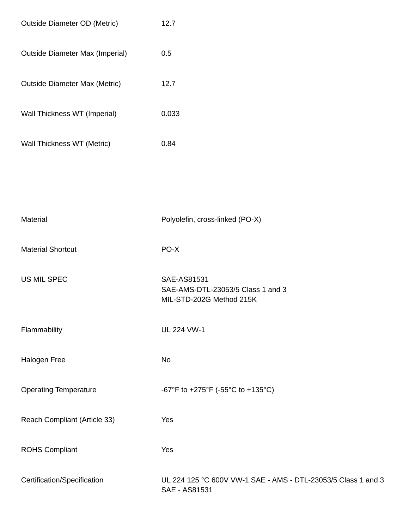| <b>Outside Diameter OD (Metric)</b>    | 12.7                                                                           |
|----------------------------------------|--------------------------------------------------------------------------------|
| <b>Outside Diameter Max (Imperial)</b> | 0.5                                                                            |
| <b>Outside Diameter Max (Metric)</b>   | 12.7                                                                           |
| Wall Thickness WT (Imperial)           | 0.033                                                                          |
| Wall Thickness WT (Metric)             | 0.84                                                                           |
|                                        |                                                                                |
|                                        |                                                                                |
| Material                               | Polyolefin, cross-linked (PO-X)                                                |
| <b>Material Shortcut</b>               | PO-X                                                                           |
| <b>US MIL SPEC</b>                     | SAE-AS81531<br>SAE-AMS-DTL-23053/5 Class 1 and 3<br>MIL-STD-202G Method 215K   |
| Flammability                           | <b>UL 224 VW-1</b>                                                             |
| Halogen Free                           | No                                                                             |
| <b>Operating Temperature</b>           | -67°F to +275°F (-55°C to +135°C)                                              |
| Reach Compliant (Article 33)           | Yes                                                                            |
| <b>ROHS Compliant</b>                  | Yes                                                                            |
| Certification/Specification            | UL 224 125 °C 600V VW-1 SAE - AMS - DTL-23053/5 Class 1 and 3<br>SAE - AS81531 |